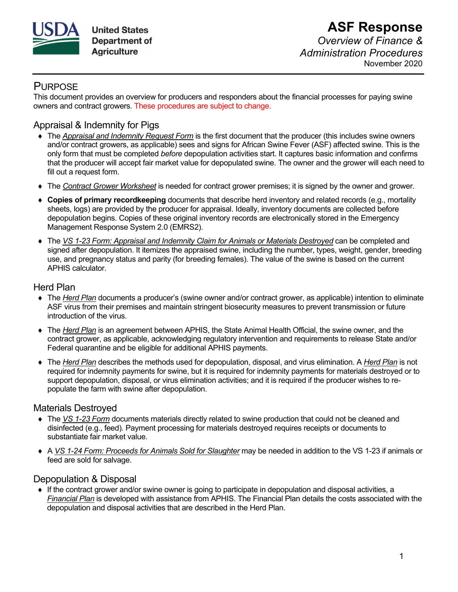

## **PURPOSE**

This document provides an overview for producers and responders about the financial processes for paying swine owners and contract growers. These procedures are subject to change.

# Appraisal & Indemnity for Pigs

- ♦ The *Appraisal and Indemnity Request Form* is the first document that the producer (this includes swine owners and/or contract growers, as applicable) sees and signs for African Swine Fever (ASF) affected swine. This is the only form that must be completed *before* depopulation activities start. It captures basic information and confirms that the producer will accept fair market value for depopulated swine. The owner and the grower will each need to fill out a request form.
- ♦ The *Contract Grower Worksheet* is needed for contract grower premises; it is signed by the owner and grower.
- ♦ **Copies of primary recordkeeping** documents that describe herd inventory and related records (e.g., mortality sheets, logs) are provided by the producer for appraisal. Ideally, inventory documents are collected before depopulation begins. Copies of these original inventory records are electronically stored in the Emergency Management Response System 2.0 (EMRS2).
- ♦ The *VS 1-23 Form: Appraisal and Indemnity Claim for Animals or Materials Destroyed* can be completed and signed after depopulation. It itemizes the appraised swine, including the number, types, weight, gender, breeding use, and pregnancy status and parity (for breeding females). The value of the swine is based on the current APHIS calculator.

### Herd Plan

- ♦ The *Herd Plan* documents a producer's (swine owner and/or contract grower, as applicable) intention to eliminate ASF virus from their premises and maintain stringent biosecurity measures to prevent transmission or future introduction of the virus.
- ♦ The *Herd Plan* is an agreement between APHIS, the State Animal Health Official, the swine owner, and the contract grower, as applicable, acknowledging regulatory intervention and requirements to release State and/or Federal quarantine and be eligible for additional APHIS payments.
- ♦ The *Herd Plan* describes the methods used for depopulation, disposal, and virus elimination. A *Herd Plan* is not required for indemnity payments for swine, but it is required for indemnity payments for materials destroyed or to support depopulation, disposal, or virus elimination activities; and it is required if the producer wishes to repopulate the farm with swine after depopulation.

### Materials Destroyed

- ♦ The *VS 1-23 Form* documents materials directly related to swine production that could not be cleaned and disinfected (e.g., feed). Payment processing for materials destroyed requires receipts or documents to substantiate fair market value.
- ♦ A *VS 1-24 Form: Proceeds for Animals Sold for Slaughter* may be needed in addition to the VS 1-23 if animals or feed are sold for salvage.

### Depopulation & Disposal

♦ If the contract grower and/or swine owner is going to participate in depopulation and disposal activities, a *Financial Plan* is developed with assistance from APHIS. The Financial Plan details the costs associated with the depopulation and disposal activities that are described in the Herd Plan.